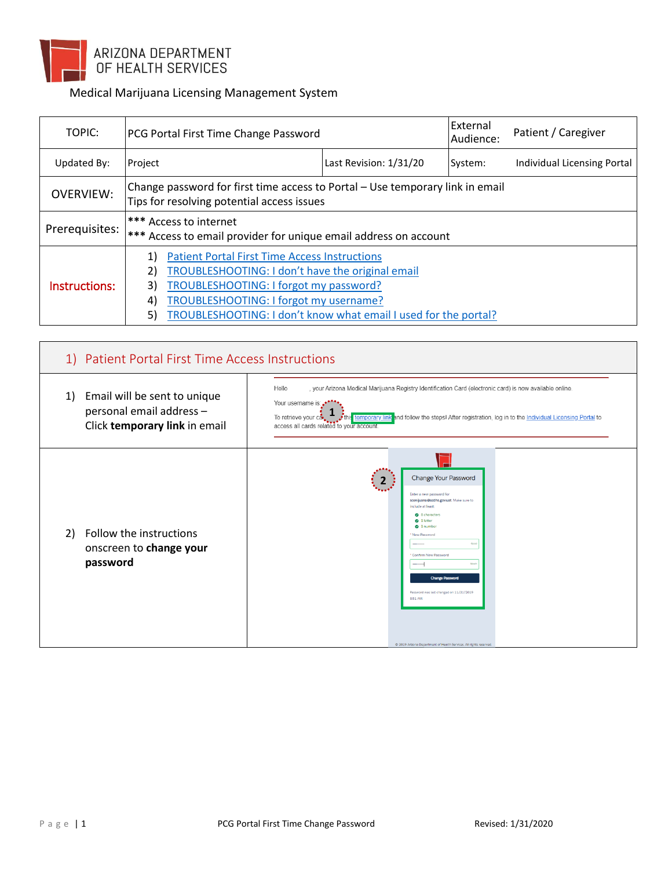

## Medical Marijuana Licensing Management System

| TOPIC:           | PCG Portal First Time Change Password                                                                                                                                                                                                                                                   |                        | External<br>Audience: | Patient / Caregiver         |
|------------------|-----------------------------------------------------------------------------------------------------------------------------------------------------------------------------------------------------------------------------------------------------------------------------------------|------------------------|-----------------------|-----------------------------|
| Updated By:      | Project                                                                                                                                                                                                                                                                                 | Last Revision: 1/31/20 | System:               | Individual Licensing Portal |
| <b>OVERVIEW:</b> | Change password for first time access to Portal - Use temporary link in email<br>Tips for resolving potential access issues                                                                                                                                                             |                        |                       |                             |
| Prerequisites:   | <b>*** Access to internet</b><br>*** Access to email provider for unique email address on account                                                                                                                                                                                       |                        |                       |                             |
| Instructions:    | <b>Patient Portal First Time Access Instructions</b><br>2)<br>TROUBLESHOOTING: I don't have the original email<br>TROUBLESHOOTING: I forgot my password?<br>3)<br>TROUBLESHOOTING: I forgot my username?<br>4)<br>TROUBLESHOOTING: I don't know what email I used for the portal?<br>5) |                        |                       |                             |

<span id="page-0-0"></span>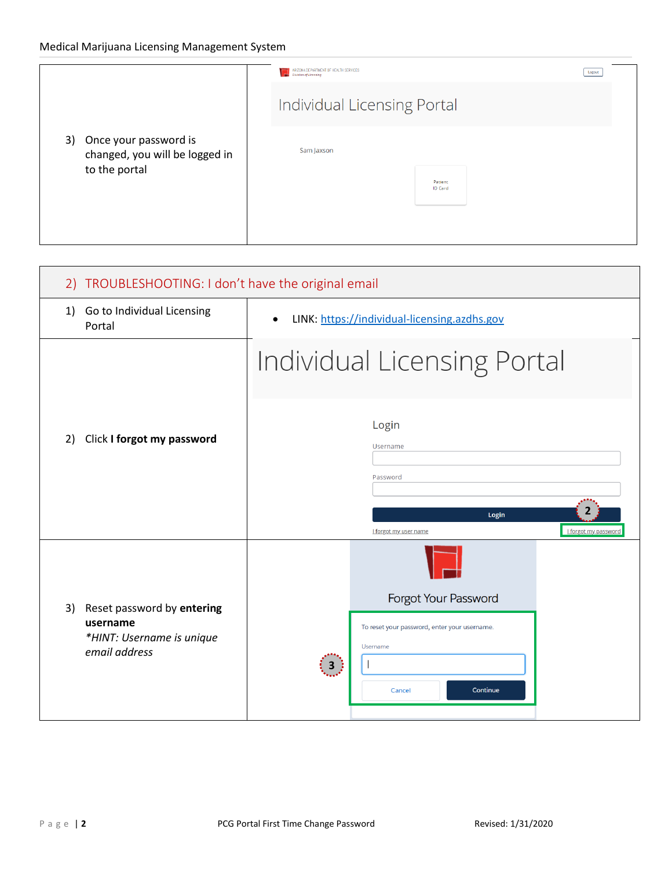|               |                                                            | ARIZONA DEPARTMENT OF HEALTH SERVICES<br>Division of Licensing | Logout |
|---------------|------------------------------------------------------------|----------------------------------------------------------------|--------|
|               | Individual Licensing Portal                                |                                                                |        |
|               | 3) Once your password is<br>changed, you will be logged in | Sam Jaxson                                                     |        |
| to the portal | Patient<br><b>ID Card</b>                                  |                                                                |        |
|               |                                                            |                                                                |        |

<span id="page-1-0"></span>

| 2) TROUBLESHOOTING: I don't have the original email                                        |                                                                                                               |  |  |
|--------------------------------------------------------------------------------------------|---------------------------------------------------------------------------------------------------------------|--|--|
| 1) Go to Individual Licensing<br>Portal                                                    | LINK: https://individual-licensing.azdhs.gov<br>$\bullet$                                                     |  |  |
|                                                                                            | Individual Licensing Portal                                                                                   |  |  |
| Click I forgot my password<br>2)                                                           | Login<br>Username<br>Password<br>Login<br><b>I</b> forgot my password<br>I forgot my user name                |  |  |
| Reset password by entering<br>3)<br>username<br>*HINT: Username is unique<br>email address | Forgot Your Password<br>To reset your password, enter your username.<br>Username<br>(3)<br>Continue<br>Cancel |  |  |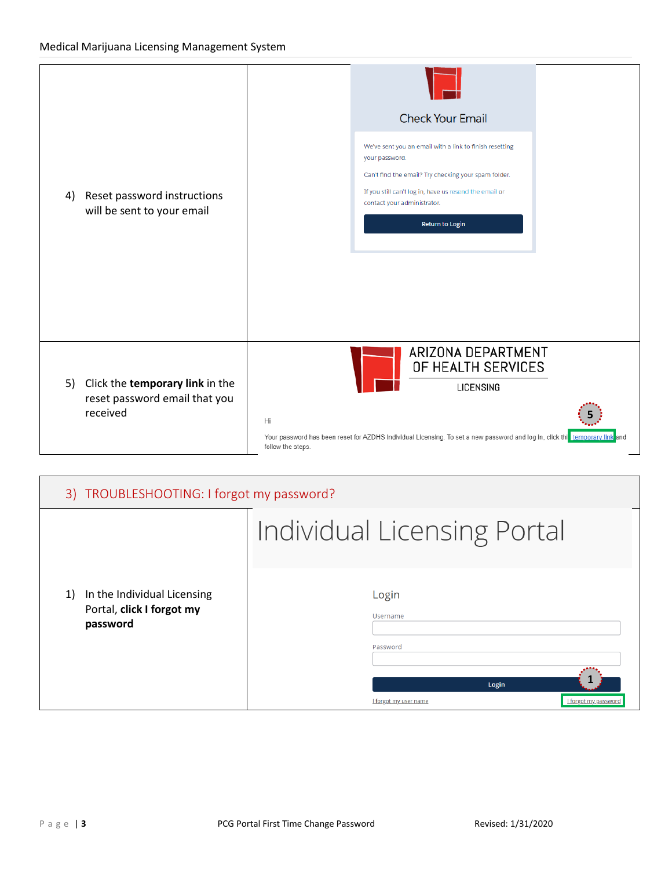

<span id="page-2-0"></span>

| 3) TROUBLESHOOTING: I forgot my password?                                  |                                                                                         |
|----------------------------------------------------------------------------|-----------------------------------------------------------------------------------------|
|                                                                            | <b>Individual Licensing Portal</b>                                                      |
| In the Individual Licensing<br>1)<br>Portal, click I forgot my<br>password | Login<br>Username<br>Password<br>Login<br>I forgot my password<br>I forgot my user name |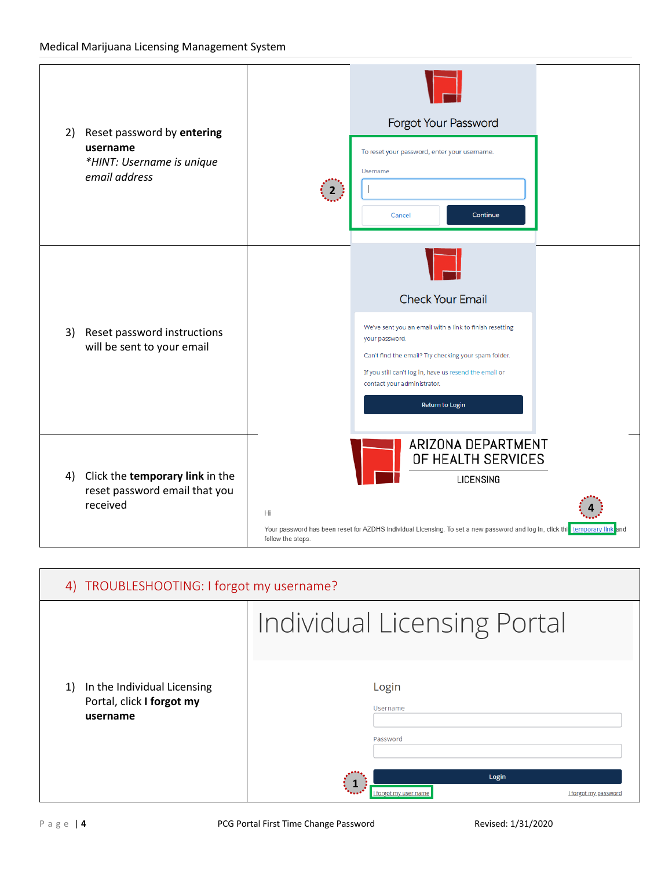## Medical Marijuana Licensing Management System

| 2) | Reset password by entering<br>username<br>*HINT: Username is unique<br>email address | Forgot Your Password<br>To reset your password, enter your username.<br>Username<br>$\left  \begin{array}{c} 2 \end{array} \right $<br>Continue<br>Cancel                                                                                                                |  |
|----|--------------------------------------------------------------------------------------|--------------------------------------------------------------------------------------------------------------------------------------------------------------------------------------------------------------------------------------------------------------------------|--|
| 3) | Reset password instructions<br>will be sent to your email                            | <b>Check Your Email</b><br>We've sent you an email with a link to finish resetting<br>your password.<br>Can't find the email? Try checking your spam folder.<br>If you still can't log in, have us resend the email or<br>contact your administrator.<br>Return to Login |  |
| 4) | Click the temporary link in the<br>reset password email that you<br>received         | ARIZONA DEPARTMENT<br>OF HEALTH SERVICES<br><b>LICENSING</b><br>Hi<br>Your password has been reset for AZDHS Individual Licensing. To set a new password and log in, click this temporary link and<br>follow the steps.                                                  |  |

<span id="page-3-0"></span>

| 4) TROUBLESHOOTING: I forgot my username?                                  |                                                             |
|----------------------------------------------------------------------------|-------------------------------------------------------------|
|                                                                            | <b>Individual Licensing Portal</b>                          |
| In the Individual Licensing<br>1)<br>Portal, click I forgot my<br>username | Login<br><b>Username</b><br>Password                        |
|                                                                            | Login<br>forgot my user name<br><u>I forgot my password</u> |